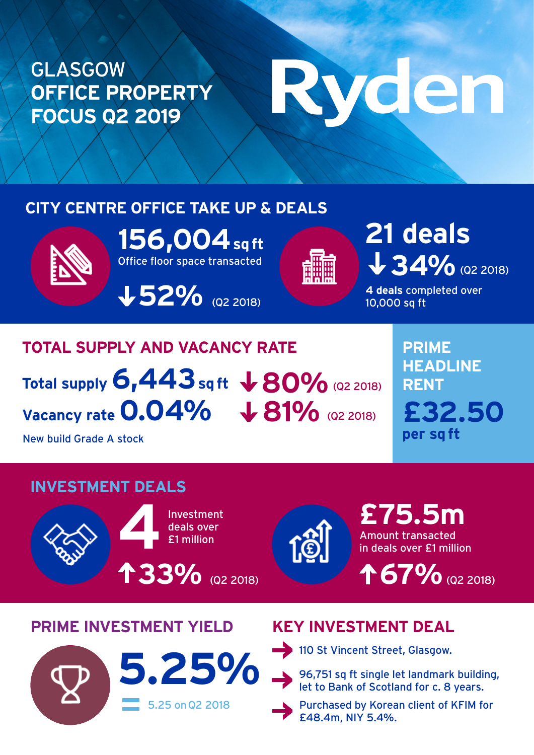# GLASGOW **OFFICE PROPERTY FOCUS Q2 2019**

# Ryden

# **CITY CENTRE OFFICE TAKE UP & DEALS**



Office floor space transacted **156,004 sq ft**

**52%** (Q2 2018)



34% (Q2 2018) **21 deals**

**4 deals** completed over 10,000 sq ft

**PRIME** 

**RENT**

**per sq ft**

**HEADLINE** 

**£32.50**

# **TOTAL SUPPLY AND VACANCY RATE** Total supply  $6,443$  sq ft  $\, \sqrt{80\%}$  (Q2 2018) Vacancy rate 0.04%  $\sqrt{81\%}$  (Q2 2018)

New build Grade A stock

# **INVESTMENT DEALS**





Amount transacted in deals over £1 million **£75.5m**

**67%** (Q2 2018)

# **PRIME INVESTMENT YIELD KEY INVESTMENT DEAL**



110 St Vincent Street, Glasgow.

Purchased by Korean client of KFIM for £48.4m, NIY 5.4%.